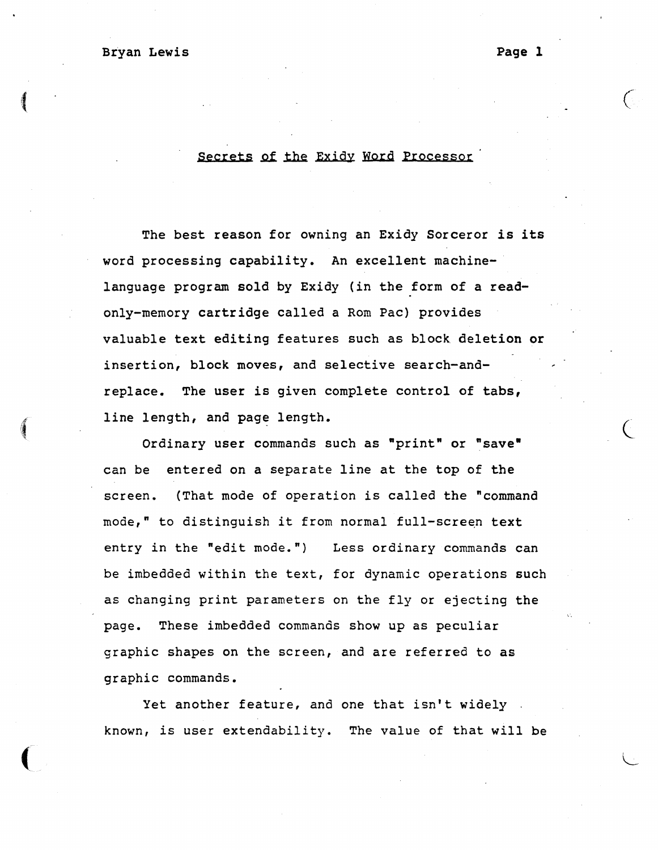Bryan Lewis **Page 1** 

 $\begin{picture}(20,20) \put(0,0){\dashbox{0.5}(20,0){ }} \thicklines \put(0,0){\dashbox{0.5}(20,0){ }} \thicklines \put(0,0){\dashbox{0.5}(20,0){ }} \thicklines \put(0,0){\dashbox{0.5}(20,0){ }} \thicklines \put(0,0){\dashbox{0.5}(20,0){ }} \thicklines \put(0,0){\dashbox{0.5}(20,0){ }} \thicklines \put(0,0){\dashbox{0.5}(20,0){ }} \thicklines \put(0,0){\dashbox{0.5}(20,0){ }} \thicklines \put(0,0){\dash$ 

 $\left($ 

## Secrets of the Exidy Word Processor

The best reason for owning an Exidy Sorceror is its word processing capability. An excellent machinelanguage program sold by Exidy (in the form of a readonly-memory cartridge called a Rom Pac) provides valuable text editing features such as block deletion or insertion, block moves, and selective search-andreplace. The user is given complete control of tabs, line length, and page length.

Ordinary user commands such as "print" or "save" can be entered on a separate line at the top of the screen. (That mode of operation is called the "command mode," to distinguish it from normal full-screen text entry in the "edit mode.") Less ordinary commands can be imbedded within the text, for dynamic operations such as changing print parameters on the fly or ejecting the page. These imbedded commands show up as peculiar graphic shapes on the screen, and are referred to as graphic commands.

Yet another feature, and one that isn't widely . known, is user extendability. The value of that will be

 $\bigcirc$ 

 $\big($ 

L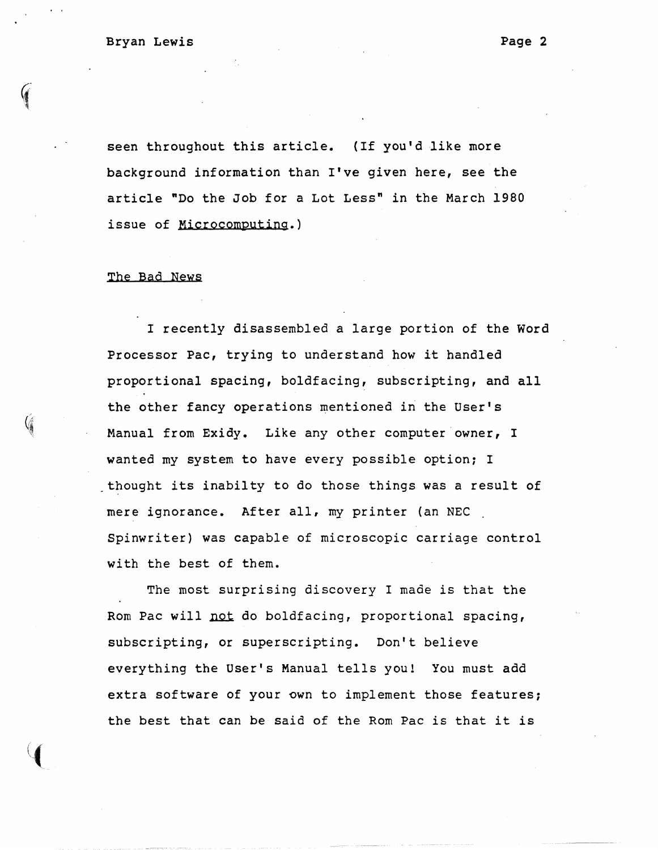seen throughout this article. (If you'd like more background information than I've given here, see the article "Do the Job for a Lot Less" in the March 1980 issue of Microcomputing.)

### The Bad News

I recently disassembled a large portion of the Word Processor Pac, trying to understand how it handled proportional spacing, boldfacing, subscripting, and all the other fancy operations mentioned in the User's Manual from Exidy. Like any other computer owner, I wanted my system to have every possible option; I . thought its inabilty to do those things was a result of mere ignorance. After all, my printer (an NEC Spinwriter) was capable of microscopic carriage control with the best of them.

The most surprising discovery I made is that the Rom Pac will not do boldfacing, proportional spacing, subscripting, or superscripting. Don't believe everything the User's Manual tells you! You must add extra software of your own to implement those features; the best that can be said of the Rom Pac is that it is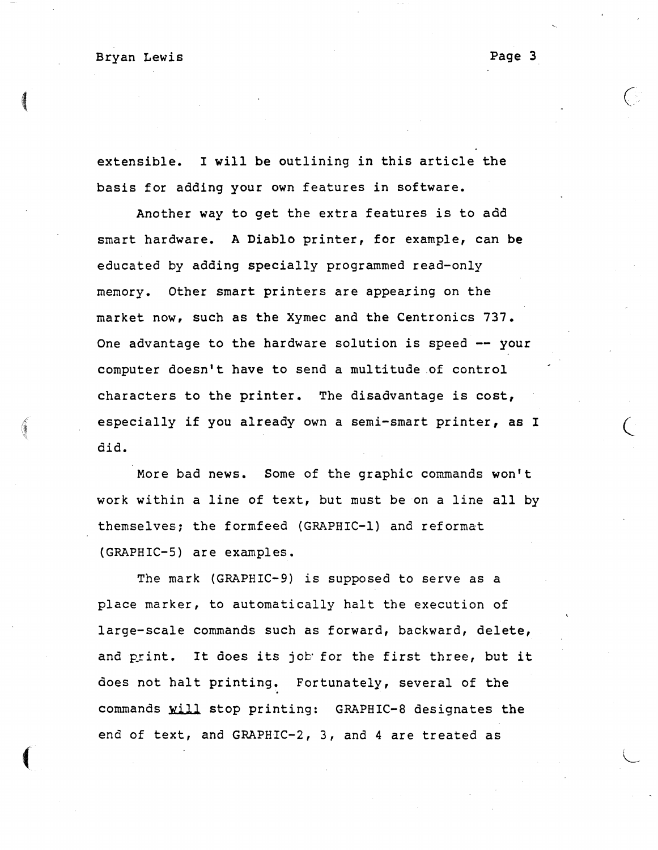$\overline{\mathcal{M}}$ 

 $\big($ 

L

extensible. I will be outlining in this article the basis for adding your own features in software.

 $\overline{\mathcal{A}}$  (and the contract of  $\overline{\mathcal{A}}$  ) and the contract of  $\overline{\mathcal{A}}$  (and the contract of  $\overline{\mathcal{A}}$ 

Another way to get the extra features is to add smart hardware. A Diablo printer, for example, can be educated by adding specially programmed read-only memory. Other smart printers are appearing on the market now, such as the Xymec and the Centronics 737. One advantage to the hardware solution is speed -- your computer doesn't have to send a multitude .of control characters to the printer. The disadvantage is cost, especially if you already own a semi-smart printer, as I did.

More bad news. Some of the graphic commands won't work within a line of text, but must be 'on a line all by themselves; the formfeed (GRAPHIC-I) and reformat (GRAPHIC-S) are examples.

The mark (GRAPHIC-9) is supposed to serve as a place marker, to automatically halt the execution of large-scale commands such as forward, backward, delete, and print. It does its job for the first three, but it does not halt printing. Fortunately, several of the commands will stop printing: GRAPHIC-8 designates the end of text, and GRAPHIC-2, 3, and 4 are treated as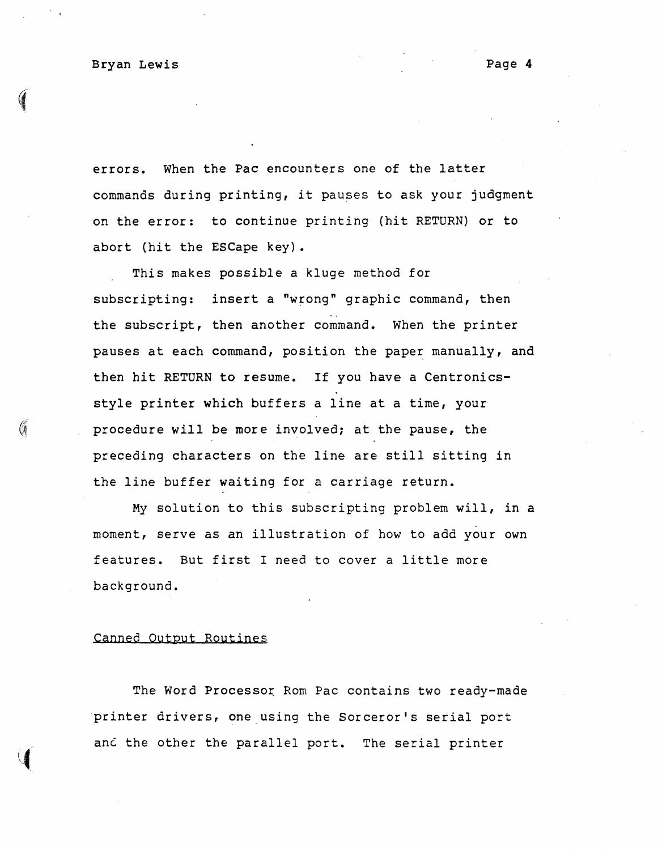Bryan Lewis **Page 4** 

errors. When the Pac encounters one of the latter commands during printing, it pauses to ask your judgment on the error: to continue printing (hit RETURN) or to abort (hit the ESCape key).

This makes possible a kluge method for subscripting: insert a "wrong" graphic command, then the subscript, then another command. When the printer pauses at each command, position the paper manually, and then hit RETURN to resume. If you have a Centronicsstyle printer which buffers a line at a time, your procedure will be more involved; at the pause, the preceding characters on the line are still sitting in the line buffer waiting for a carriage return.

My solution to this subscripting problem will, in a moment, serve as an illustration of how to add your own features. But first I need to cover a little more background.

#### Canned Output Routines

The Word Processor Rom Pac contains two ready-made printer drivers, one using the Sorceror's serial port anc the other the parallel port. The serial printer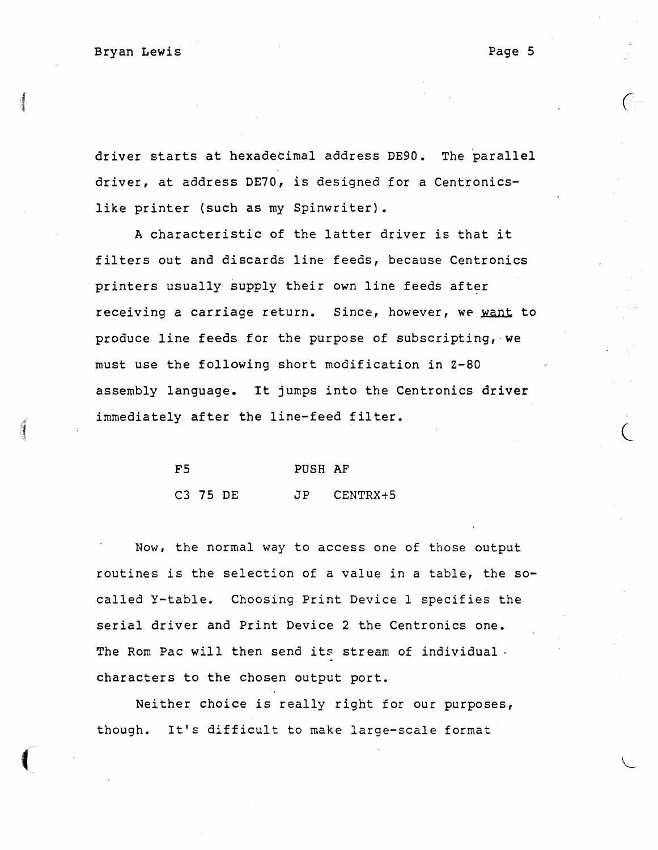driver starts at hexadecimal address DE90. The parallel driver, at address DE70, is designed for a Centronicslike printer (such as my Spinwriter).

A characteristic of the latter driver is that it filters out and discards line feeds, because Centronics printers usually supply their own line feeds after receiving a carriage return. Since, however, we want to produce line feeds for the purpose of subscripting,-we must use the following short modification in Z-80 assembly language. It jumps into the Centronics driver immediately after the line-feed filter.

| F5       |  | PUSH AF |                 |  |
|----------|--|---------|-----------------|--|
| C3 75 DE |  |         | $JP$ $CENTRX+5$ |  |

Now, the normal way to access one of those output routines is the selection of a value in a table, the socalled y-table. Choosing Print Device 1 specifies the serial driver and Print Device 2 the Centronics one. The Rom Pac will then send its stream of individual. characters to the chosen output port.

Neither choice is really right for our purposes, though. It's difficult to make large-scale format

 $\overline{\phantom{a}}$ 

 $\overline{\mathcal{C}}$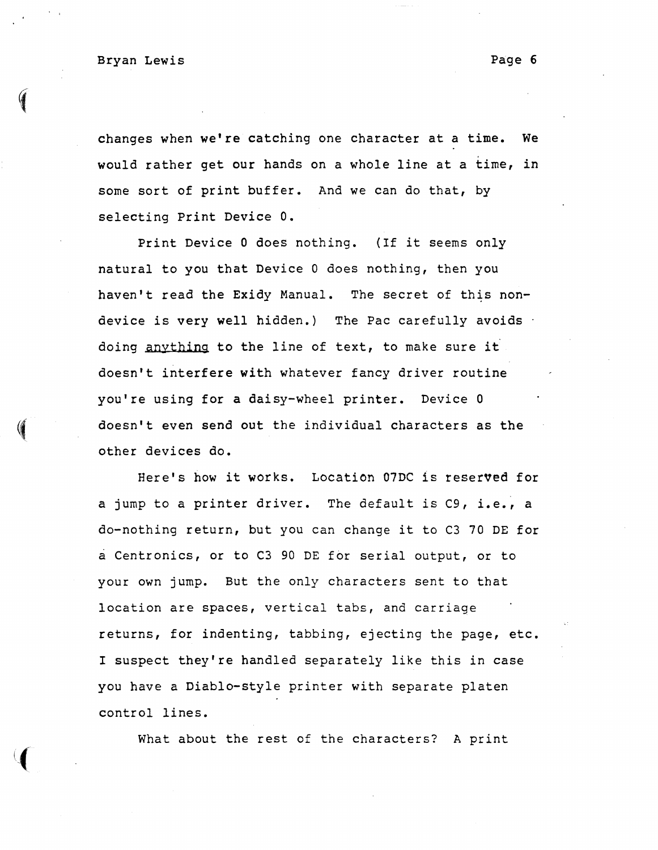Bryan Lewis **Page 6** 

changes when we're catching one character at a time. We would rather get our hands on a whole line at a time, in some sort of print buffer. And we can do that, by selecting Print Device O.

Print Device 0 does nothing. (If it seems only natural to you that Device 0 does nothing, then you haven't read the Exidy Manual. The secret of this nondevice is very well hidden.) The Pac carefully avoids doing anything to the line of text, to make sure it doesn't interfere with whatever fancy driver routine you're using for a daisy-wheel printer. Device 0 doesn't even send out the individual characters as the other devices do.

Here's how it works. Location 07DC is reserved for a jump to a printer driver. The default is C9, i.e., a do-nothing return, but you can change it to C3 70 DE for a Centronics, or to C3 90 DE for serial output, or to your own jump. But the only characters sent to that location are spaces, vertical tabs, and carriage returns, for indenting, tabbing, ejecting the page, etc. I suspect they're handled separately like this in case you have a Diablo-style printer with separate platen control lines.

What about the rest of the characters? A print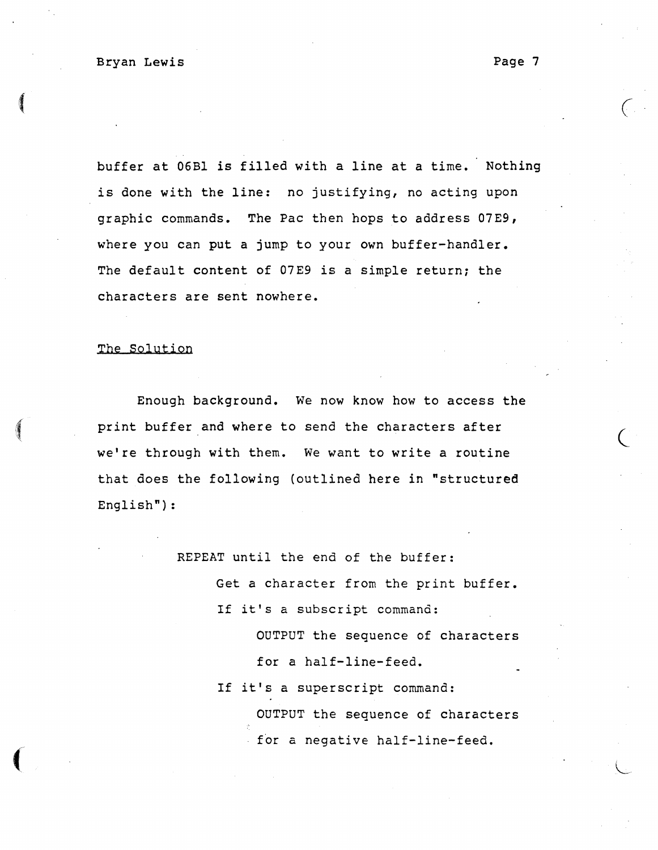buffer at 06Bl is filled with a line at a time. Nothing is done with the line: no justifying, no acting upon graphic commands. The Pac then hops to address 07E9, where you can put a jump to your own buffer-handler. The default content of 07E9 is a simple return; the characters are sent nowhere.

 $($ 

### The Solution

 $\left( \begin{array}{c} \begin{array}{c} \begin{array}{c} \end{array}\\ \end{array} \right) \end{array}$ 

 $\overline{\mathcal{L}}$ 

Enough bacKground. We now know how to access the print buffer and where to send the characters after we're through with them. We want to write a routine that does the following (outlined here in "structured English") :

REPEAT until the end of the buffer:

Get a character from the print buffer. If it's a subscript command:

> OUTPUT the sequence of characters for a half-line-feed.

If it's a superscript command: OUTPUT the sequence of characters for a negative half-line-feed.

 $\overline{C}$ 

L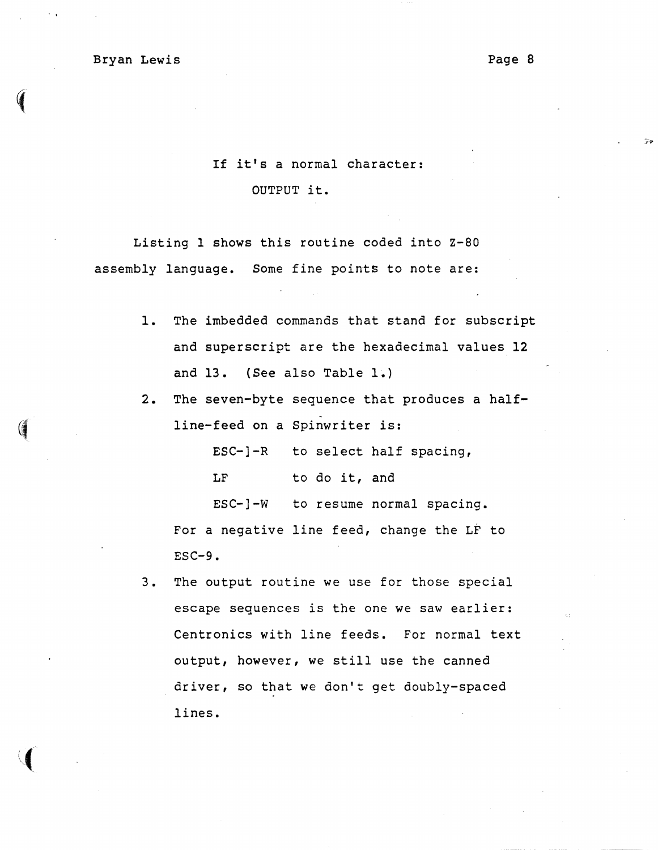Page 8

'.;

If it's a normal character:

OUTPUT it.

Listing 1 shows this routine coded into Z-80 assembly language. Some fine points to note are:

- 1. The imbedded commands that stand for subscript and superscript are the hexadecimal values 12 and 13. (See also Table 1.)
- 2. The seven-byte sequence that produces a half- (*Iine-feed on a Spinwriter is:*

ESC-]-R to select half spacing,

LF to do it, and

ESC-] -w to resume normal spacing. For a negative line feed, change the LF to  $ESC-9.$ 

3. The output routine we use for those special escape sequences is the one we saw earlier: Centronics with line feeds. For normal text output, however, we still use the canned driver, so that we don't get doubly-spaced lines.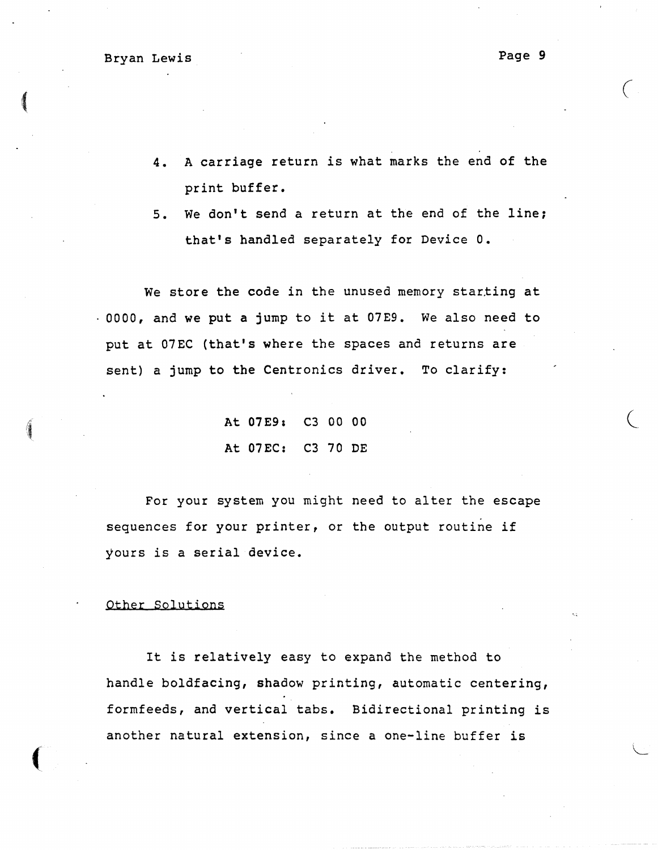(

 $\big($ 

- 4. A carriage return is what marks the end of the print buffer.
- 5. We don't send a return at the end of the line; that's handled separately for Device O.

We store the code in the unused memory starting at 0000, and we put a jump to it at 07E9. We also need to put at 07EC (that's where the spaces and returns are sent) a jump to the Centronics driver. To clarify:

> At 07E9, C3 00 00 At 07EC: C3 70 DE

For your system you might need to alter the escape sequences for your printer, or the output routine if yours is a serial device.

#### Other Solutions

 $\overline{(\ }$ 

It is relatively easy to expand the method to handle boldfacing, shadow printing, automatic centering, formfeeds, and vertical tabs. Bidirectional printing is another natural extension, since a one-line buffer is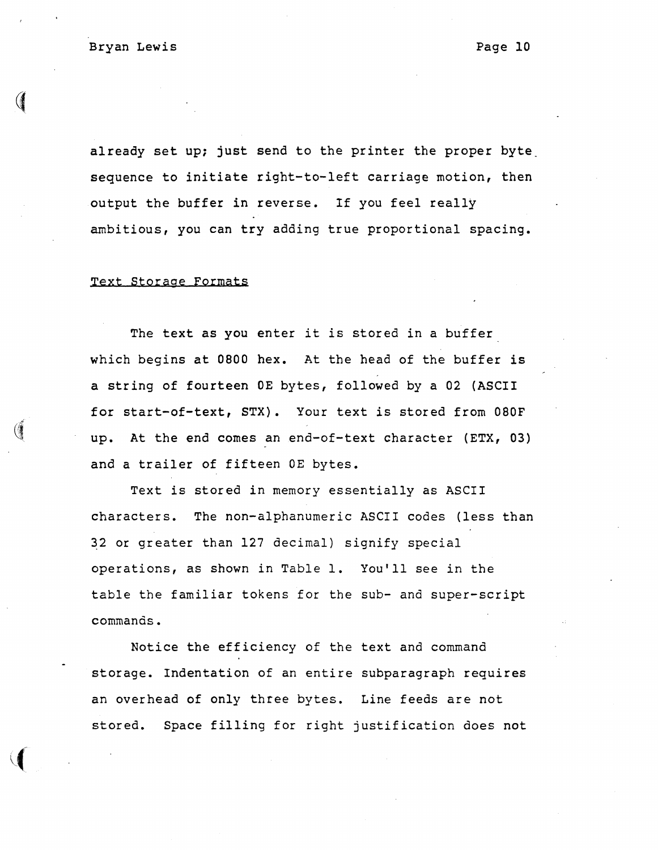already set up; just send to the printer the proper byte. sequence to initiate right-to-left carriage motion, then output the buffer in reverse. If you feel really ambitious, you can try adding true proportional spacing.

## Text Storage Formats

The text as you enter it is stored in a buffer which begins at 0800 hex. At the head of the buffer is a string of fourteen OE bytes, followed by a 02 (ASCII for start-of-text, STX). Your text is stored from 080F up. At the end comes an end-of-text character (ETX, 03) and a trailer of fifteen OE bytes.

Text is stored in memory essentially as ASCII characters. The non-alphanumeric ASCII codes (less than 32 or greater than 127 decimal) signify special operations, as shown in Table 1. You'll see in the table the familiar tokens for the sub- and super-script commands.

Notice the efficiency of the text and command storage. Indentation of an entire subparagraph requires an overhead of only three bytes. Line feeds are not stored. Space filling for right justification does not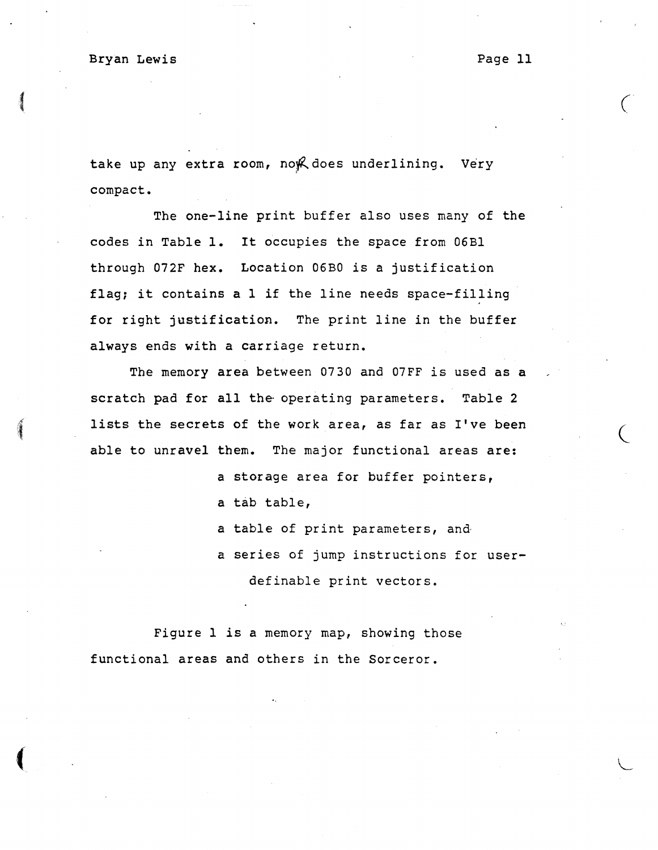## Bryan Lewis **Page 11**

 $\overline{\mathcal{L}}$ 

 $\big($ 

take up any extra room, no $R$  does underlining. Very compact.

The one-line print buffer also uses many of the codes in Table 1. It occupies the space from 06B1 through 072F hex. Location 06BO *is* a justification flag; it contains a I if the line needs space-filling for right justification. The print line in the buffer always ends with a carriage return.

The memory area between 0730 and 07FF is used as a scratch pad for all the operating parameters. Table 2 lists the secrets of the work area, as far as I've been able to unravel them. The major functional areas are:

- a storage area for buffer pointers, a tab table,
- a table of print parameters, and·
- a series of jump instructions for userdefinable print vectors.

Figure I is a memory map, showing those functional areas and others in the Sorceror.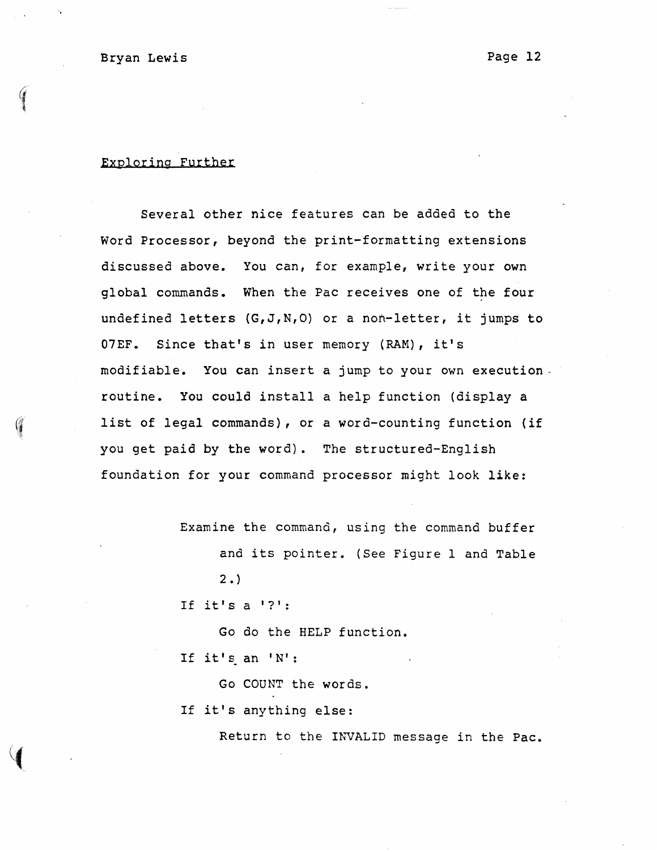$\bullet$  .

### Exploring Further

Several other nice features Can be added to the Word Processor, beyond the print-formatting extensions discussed above. You can, for example, write your own global commands. When the Pac receives one of the four undefined letters (G,J,N,O) or a non-letter, it jumps to 07EF. Since that's in user memory (RAM), it's modifiable. You can insert a jump to your own execution. routine. You could install a help function (display a list of legal commands), or a word-counting function (if you get paid by the word). The structured-English foundation for your command processor might look like:

Examine the command, using the command buffer

and its pointer. (See Figure 1 and Table  $2.$ 

If it's  $a'$  ?':

Go do the HELP function. If it's an 'N' :

Go COUNT the words.

If it's anything else:

Return to the INVALID message in the Pac.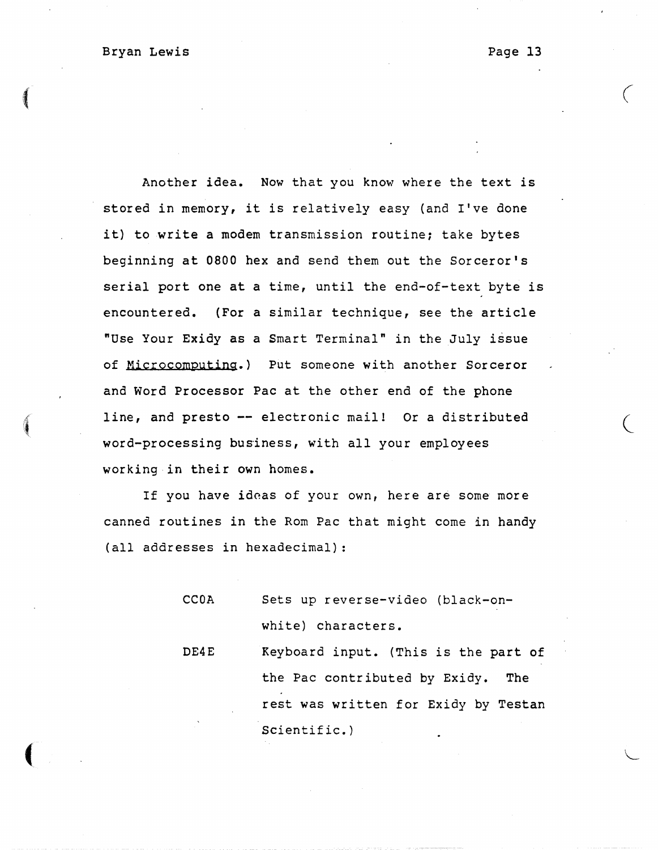$\big($ 

Another idea. Now that you know where the text is stored in memory, it is relatively easy (and I've done it) to write a modem transmission routine; take bytes beginning at 0800 hex and send them out the Sorceror's serial port one at a time, until the end-of-text byte is encountered. (For a similar technique, see the article "Use Your Exidy as a Smart Terminal" in the July issue of Microcomputing.) Put someone with another Sorceror and Word Processor Pac at the other end of the phone line, and presto -- electronic mail! Or a distributed word-processing business, with all your employees working·in their own homes.

 $\overline{\mathcal{A}}$ 

If you have ideas of your own, here are some more canned routines in the Rom Pac that might come in handy (all addresses in hexadecimal) :

> CCOA Sets up reverse-video (black-onwhite) characters.

DE4E Keyboard input. (This is the part of the Pac contributed by Exidy. The rest was written for Exidy by Testan Scientific.)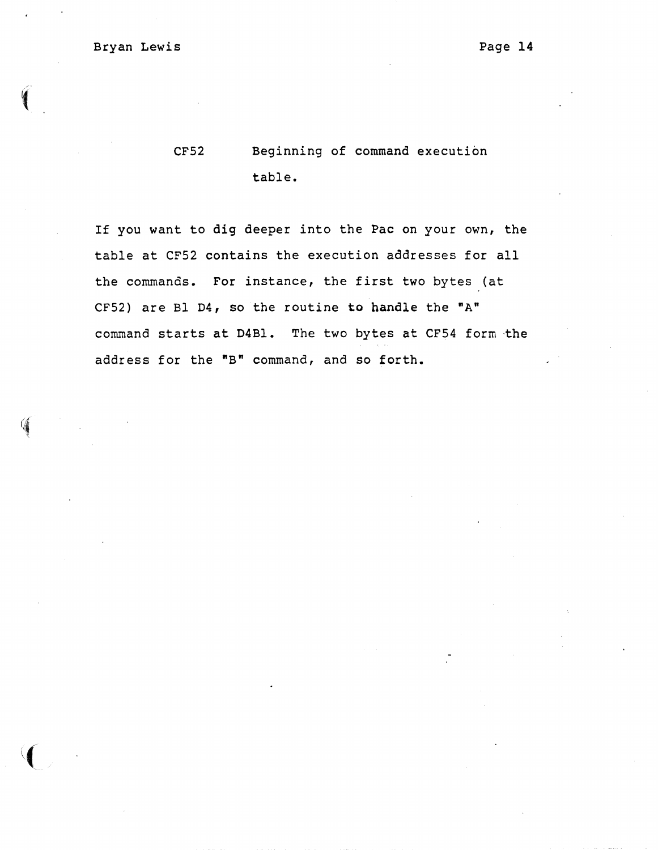CF52 Beginning of command execution table.

If you want to dig deeper into the Pac on your own, the table at CF52 contains the execution addresses for all the commands. For instance, the first two bytes (at CF52) are Bl D4, so the routine to handle the " $A$ " command starts at D4Bl. The two bytes at CF54 form the address for the "B" command, and so forth.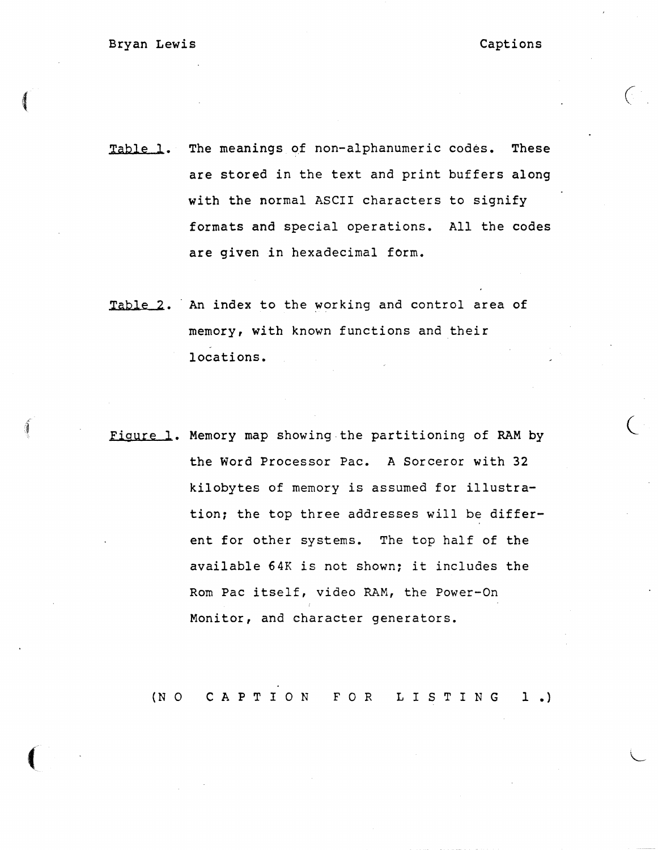$\big($ 

Table 1. The meanings of non-alphanumeric codes. These are stored in the text and print buffers along with the normal ASCII characters to signify formats and special operations. All the codes are given in hexadecimal form.

- Table 2. An index to the working and control area of memory, with known functions and their locations.
- Figure 1. Memory map showing the partitioning of RAM by the Word Processor Pac. A Sorceror with 32 kilobytes of memory is assumed for illustration; the top three addresses will be different for other systems. The top half of the available 64K is not shown: it includes the Rom Pac itself, video RAM, the Power-On Monitor, and character generators.

(NO CAPTION FOR LISTING 1.)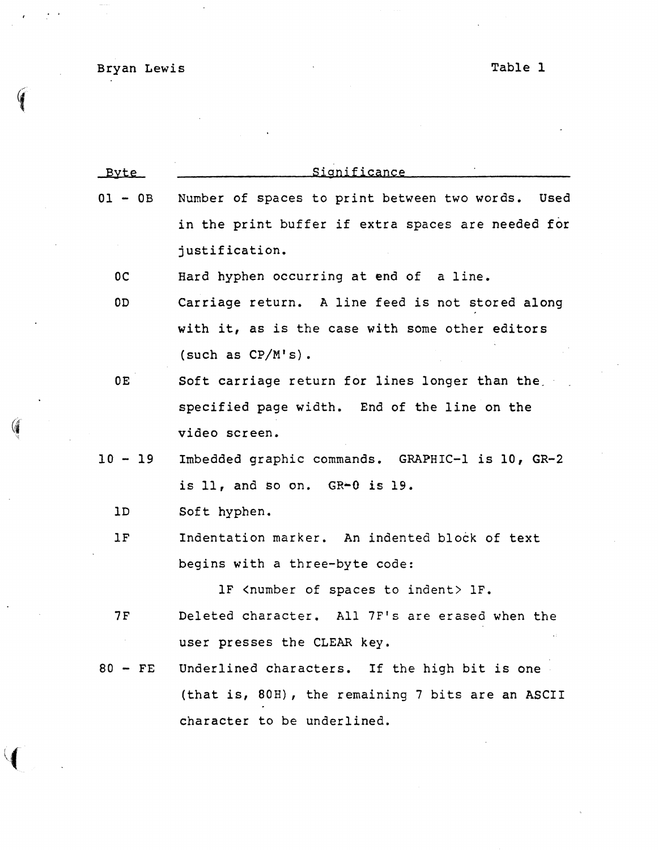Bryan Lewis Table 1

 $\mathcal{A}$ 

 $\left(\frac{1}{2}\right)$ 

 $\bar{\mathcal{A}}$ 

 $\overline{\phantom{a}}$ 

| <b>Byte</b>    | Significance                                             |  |  |  |  |
|----------------|----------------------------------------------------------|--|--|--|--|
| $01 - 0B$      | Number of spaces to print between two words. Used        |  |  |  |  |
|                | in the print buffer if extra spaces are needed for       |  |  |  |  |
|                | justification.                                           |  |  |  |  |
| 0 <sup>C</sup> | Hard hyphen occurring at end of a line.                  |  |  |  |  |
| 0 <sub>D</sub> | Carriage return. A line feed is not stored along         |  |  |  |  |
|                | with it, as is the case with some other editors          |  |  |  |  |
|                | (such as $CP/M's$ ).                                     |  |  |  |  |
| 0E             | Soft carriage return for lines longer than the           |  |  |  |  |
|                | specified page width. End of the line on the             |  |  |  |  |
|                | video screen.                                            |  |  |  |  |
| $10 - 19$      | Imbedded graphic commands. GRAPHIC-1 is 10, GR-2         |  |  |  |  |
|                | is 11, and so on. $GR+0$ is 19.                          |  |  |  |  |
| 1D             | Soft hyphen.                                             |  |  |  |  |
| 1F             | Indentation marker. An indented block of text            |  |  |  |  |
|                | begins with a three-byte code:                           |  |  |  |  |
|                | 1F <number indent="" of="" spaces="" to=""> 1F.</number> |  |  |  |  |
| 7 F            | Deleted character. All 7F's are erased when the          |  |  |  |  |
|                | user presses the CLEAR key.                              |  |  |  |  |
| $80 - FE$      | Underlined characters. If the high bit is one            |  |  |  |  |
|                | (that is, 80H), the remaining 7 bits are an ASCII        |  |  |  |  |
|                | character to be underlined.                              |  |  |  |  |
|                |                                                          |  |  |  |  |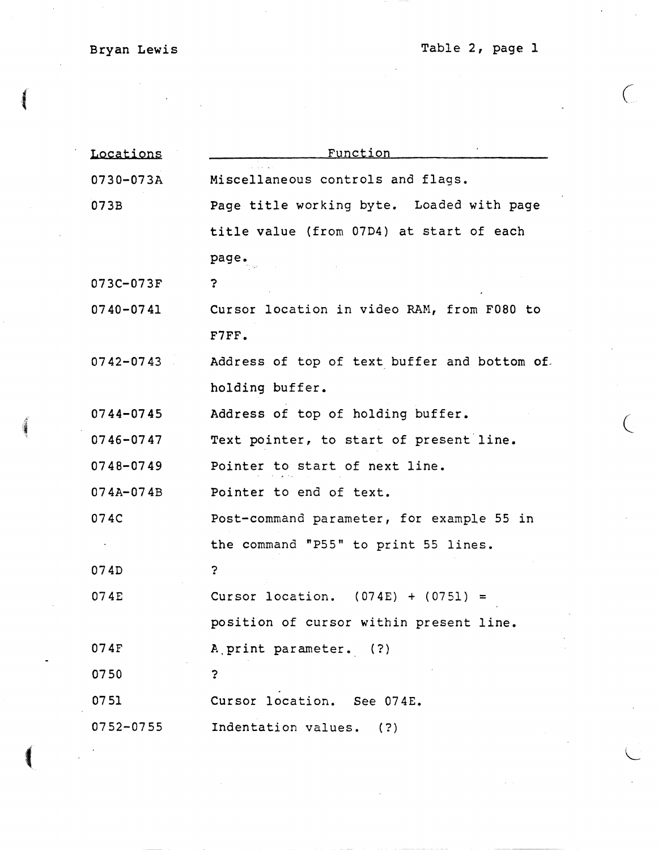# Bryan Lewis

 $\blacksquare$ 

Table 2, page 1

 $\bigcup$ 

 $\bigl($ 

L

| Locations     | <u>Function</u>                              |  |  |  |  |
|---------------|----------------------------------------------|--|--|--|--|
| 0730-073A     | Miscellaneous controls and flags.            |  |  |  |  |
| 073B          | Page title working byte. Loaded with page    |  |  |  |  |
|               | title value (from 07D4) at start of each     |  |  |  |  |
|               | page.                                        |  |  |  |  |
| 073C-073F     | ?                                            |  |  |  |  |
| $0740 - 0741$ | Cursor location in video RAM, from F080 to   |  |  |  |  |
|               | F7FF.                                        |  |  |  |  |
| $0742 - 0743$ | Address of top of text buffer and bottom of. |  |  |  |  |
|               | holding buffer.                              |  |  |  |  |
| $0744 - 0745$ | Address of top of holding buffer.            |  |  |  |  |
| $0746 - 0747$ | Text pointer, to start of present line.      |  |  |  |  |
| 0748-0749     | Pointer to start of next line.               |  |  |  |  |
| 074A-074B     | Pointer to end of text.                      |  |  |  |  |
| 074C          | Post-command parameter, for example 55 in    |  |  |  |  |
|               | the command "P55" to print 55 lines.         |  |  |  |  |
| 074D          | ?                                            |  |  |  |  |
| 074E          | Cursor location. $(074E) + (0751) =$         |  |  |  |  |
|               | position of cursor within present line.      |  |  |  |  |
| 074F          | A print parameter. (?)                       |  |  |  |  |
| 0750          | $\overline{?}$                               |  |  |  |  |
| 0751          | Cursor location. See 074E.                   |  |  |  |  |
| 0752-0755     | Indentation values. (?)                      |  |  |  |  |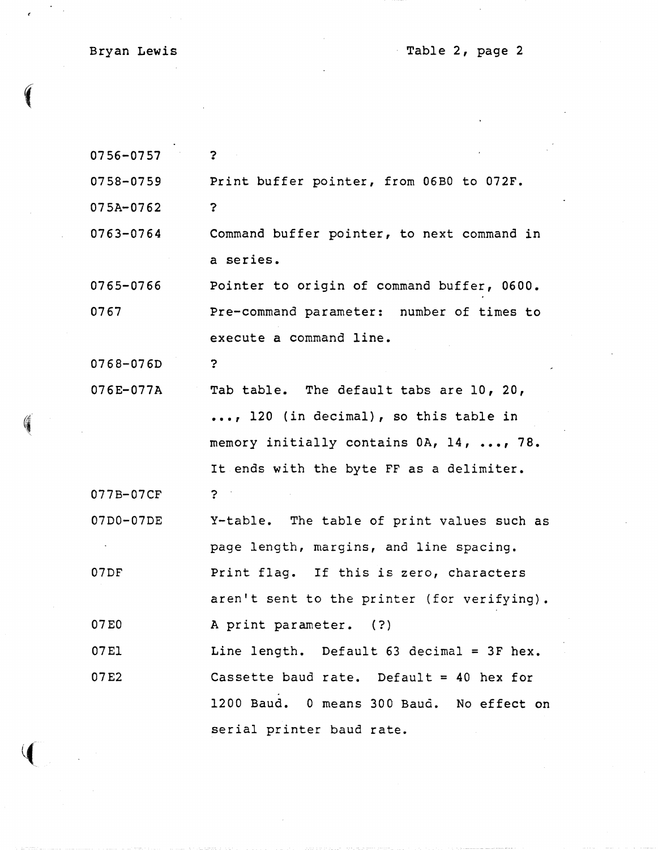Bryan Lewis

 $\epsilon$ 

J

Table 2, page 2

| 0756-0757 | $\mathbf{?}$                                |  |  |  |
|-----------|---------------------------------------------|--|--|--|
| 0758-0759 | Print buffer pointer, from 06B0 to 072F.    |  |  |  |
| 075A-0762 | ?                                           |  |  |  |
| 0763-0764 | Command buffer pointer, to next command in  |  |  |  |
|           | a series.                                   |  |  |  |
| 0765-0766 | Pointer to origin of command buffer, 0600.  |  |  |  |
| 0767      | Pre-command parameter: number of times to   |  |  |  |
|           | execute a command line.                     |  |  |  |
| 0768-076D | $\ddot{\mathbf{z}}$                         |  |  |  |
| 076E-077A | Tab table. The default tabs are 10, 20,     |  |  |  |
|           | , 120 (in decimal), so this table in        |  |  |  |
|           | memory initially contains 0A, 14, , 78.     |  |  |  |
|           | It ends with the byte FF as a delimiter.    |  |  |  |
| 077B-07CF | ?                                           |  |  |  |
| 07D0-07DE | Y-table. The table of print values such as  |  |  |  |
|           | page length, margins, and line spacing.     |  |  |  |
| 07DF      | Print flag. If this is zero, characters     |  |  |  |
|           | aren't sent to the printer (for verifying). |  |  |  |
| 07E0      | A print parameter. (?)                      |  |  |  |
| 07E1      | Line length. Default 63 decimal = 3F hex.   |  |  |  |
| 07E2      | Cassette baud rate. Default = $40$ hex for  |  |  |  |
|           | 1200 Baud. 0 means 300 Baud. No effect on   |  |  |  |
|           | serial printer baud rate.                   |  |  |  |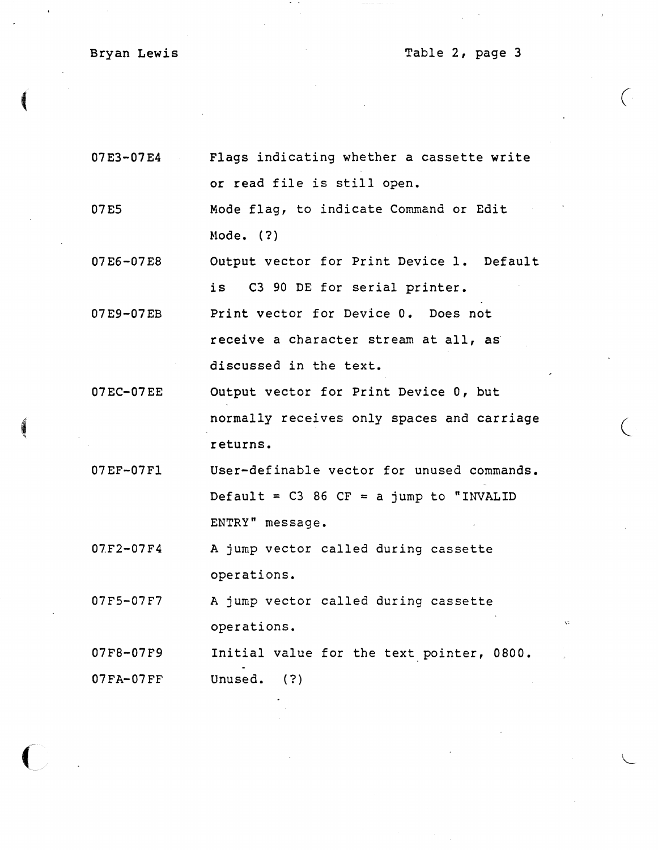# Bryan Lewis

 $\blacksquare$ 

 $\overline{C}$ 

Table 2, page 3

 $\left($ 

 $\big($ 

| 07E3-07E4     | Flags indicating whether a cassette write   |  |  |  |  |
|---------------|---------------------------------------------|--|--|--|--|
|               | or read file is still open.                 |  |  |  |  |
| 07E5          | Mode flag, to indicate Command or Edit      |  |  |  |  |
|               | Mode. $(?)$                                 |  |  |  |  |
| 07E6-07E8     | Output vector for Print Device 1. Default   |  |  |  |  |
|               | is C3 90 DE for serial printer.             |  |  |  |  |
| 07E9-07EB     | Print vector for Device 0. Does not         |  |  |  |  |
|               | receive a character stream at all, as       |  |  |  |  |
|               | discussed in the text.                      |  |  |  |  |
| 07EC-07EE     | Output vector for Print Device 0, but       |  |  |  |  |
|               | normally receives only spaces and carriage  |  |  |  |  |
|               | returns.                                    |  |  |  |  |
| 07EF-07F1     | User-definable vector for unused commands.  |  |  |  |  |
|               | Default = $C3$ 86 $CF = a$ jump to "INVALID |  |  |  |  |
|               | ENTRY" message.                             |  |  |  |  |
| $07F2 - 07F4$ | A jump vector called during cassette        |  |  |  |  |
|               | operations.                                 |  |  |  |  |
| 07F5-07F7     | A jump vector called during cassette        |  |  |  |  |
|               | operations.                                 |  |  |  |  |
| 07F8-07F9     | Initial value for the text pointer, 0800.   |  |  |  |  |
| $07FA-07FF$   | Unused.<br>(?)                              |  |  |  |  |
|               |                                             |  |  |  |  |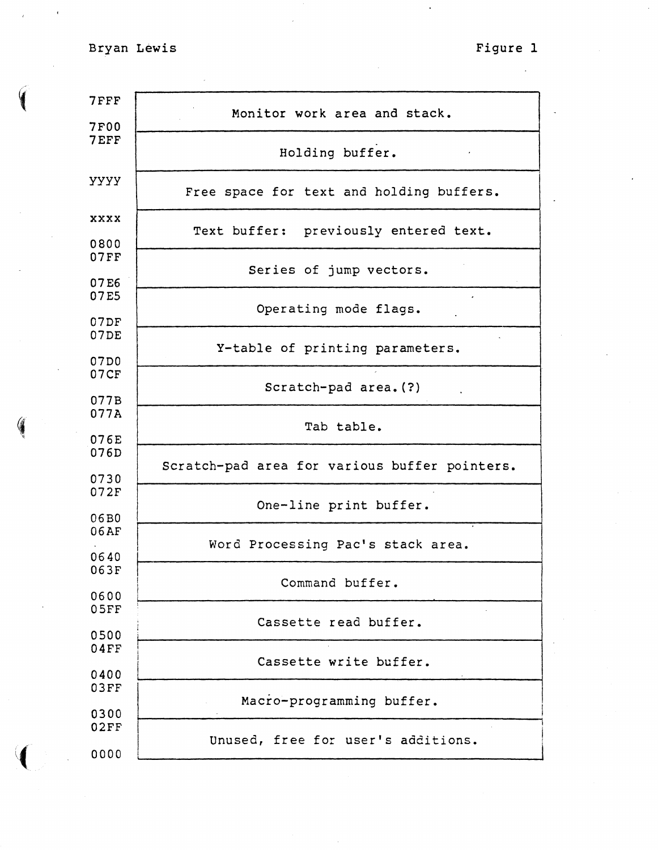Bryan Lewis Figure 1